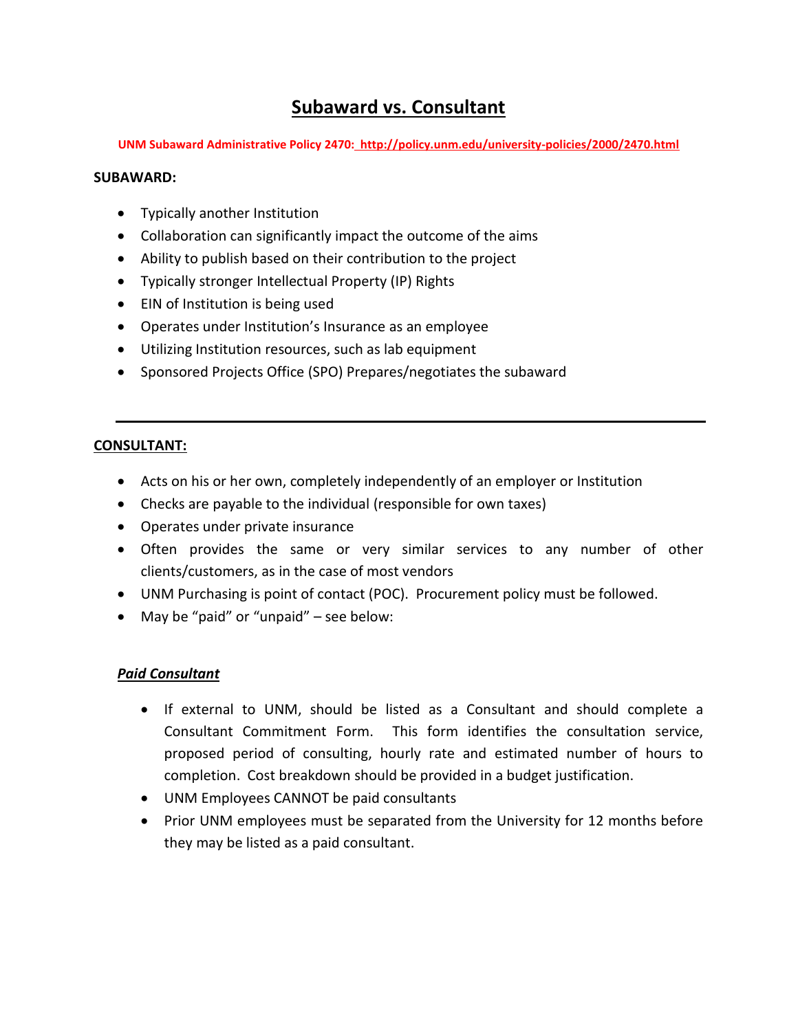# **Subaward vs. Consultant**

**UNM Subaward Administrative Policy 2470: http://policy.unm.edu/university-policies/2000/2470.html**

### **SUBAWARD:**

- Typically another Institution
- Collaboration can significantly impact the outcome of the aims
- Ability to publish based on their contribution to the project
- Typically stronger Intellectual Property (IP) Rights
- EIN of Institution is being used
- Operates under Institution's Insurance as an employee
- Utilizing Institution resources, such as lab equipment
- Sponsored Projects Office (SPO) Prepares/negotiates the subaward

#### **CONSULTANT:**

- Acts on his or her own, completely independently of an employer or Institution
- Checks are payable to the individual (responsible for own taxes)
- Operates under private insurance
- Often provides the same or very similar services to any number of other clients/customers, as in the case of most vendors
- UNM Purchasing is point of contact (POC). Procurement policy must be followed.
- May be "paid" or "unpaid" see below:

## *Paid Consultant*

- If external to UNM, should be listed as a Consultant and should complete a Consultant Commitment Form. This form identifies the consultation service, proposed period of consulting, hourly rate and estimated number of hours to completion. Cost breakdown should be provided in a budget justification.
- UNM Employees CANNOT be paid consultants
- Prior UNM employees must be separated from the University for 12 months before they may be listed as a paid consultant.